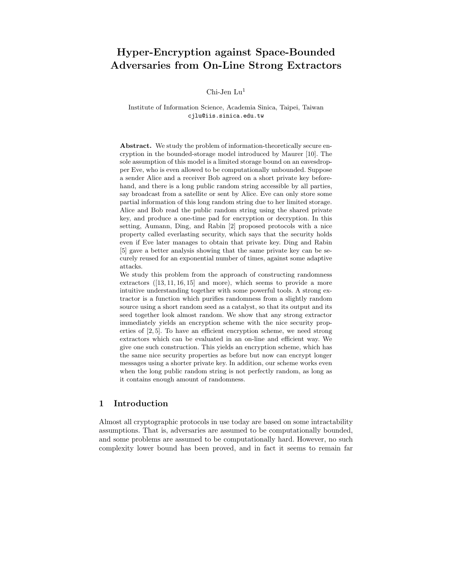# Hyper-Encryption against Space-Bounded Adversaries from On-Line Strong Extractors

Chi-Jen Lu<sup>1</sup>

Institute of Information Science, Academia Sinica, Taipei, Taiwan cjlu@iis.sinica.edu.tw

Abstract. We study the problem of information-theoretically secure encryption in the bounded-storage model introduced by Maurer [10]. The sole assumption of this model is a limited storage bound on an eavesdropper Eve, who is even allowed to be computationally unbounded. Suppose a sender Alice and a receiver Bob agreed on a short private key beforehand, and there is a long public random string accessible by all parties, say broadcast from a satellite or sent by Alice. Eve can only store some partial information of this long random string due to her limited storage. Alice and Bob read the public random string using the shared private key, and produce a one-time pad for encryption or decryption. In this setting, Aumann, Ding, and Rabin [2] proposed protocols with a nice property called everlasting security, which says that the security holds even if Eve later manages to obtain that private key. Ding and Rabin [5] gave a better analysis showing that the same private key can be securely reused for an exponential number of times, against some adaptive attacks.

We study this problem from the approach of constructing randomness extractors  $(13, 11, 16, 15]$  and more), which seems to provide a more intuitive understanding together with some powerful tools. A strong extractor is a function which purifies randomness from a slightly random source using a short random seed as a catalyst, so that its output and its seed together look almost random. We show that any strong extractor immediately yields an encryption scheme with the nice security properties of [2, 5]. To have an efficient encryption scheme, we need strong extractors which can be evaluated in an on-line and efficient way. We give one such construction. This yields an encryption scheme, which has the same nice security properties as before but now can encrypt longer messages using a shorter private key. In addition, our scheme works even when the long public random string is not perfectly random, as long as it contains enough amount of randomness.

### 1 Introduction

Almost all cryptographic protocols in use today are based on some intractability assumptions. That is, adversaries are assumed to be computationally bounded, and some problems are assumed to be computationally hard. However, no such complexity lower bound has been proved, and in fact it seems to remain far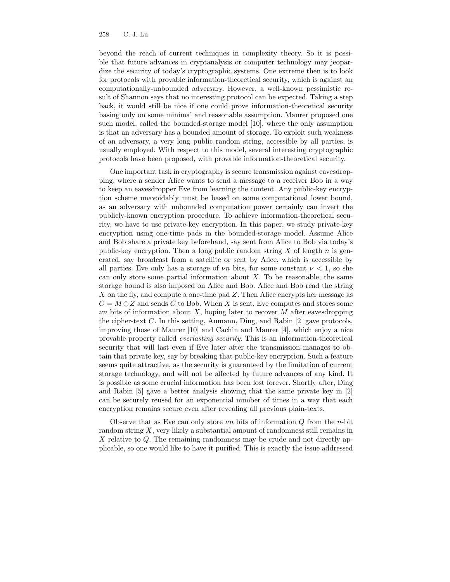beyond the reach of current techniques in complexity theory. So it is possible that future advances in cryptanalysis or computer technology may jeopardize the security of today's cryptographic systems. One extreme then is to look for protocols with provable information-theoretical security, which is against an computationally-unbounded adversary. However, a well-known pessimistic result of Shannon says that no interesting protocol can be expected. Taking a step back, it would still be nice if one could prove information-theoretical security basing only on some minimal and reasonable assumption. Maurer proposed one such model, called the bounded-storage model [10], where the only assumption is that an adversary has a bounded amount of storage. To exploit such weakness of an adversary, a very long public random string, accessible by all parties, is usually employed. With respect to this model, several interesting cryptographic protocols have been proposed, with provable information-theoretical security.

One important task in cryptography is secure transmission against eavesdropping, where a sender Alice wants to send a message to a receiver Bob in a way to keep an eavesdropper Eve from learning the content. Any public-key encryption scheme unavoidably must be based on some computational lower bound, as an adversary with unbounded computation power certainly can invert the publicly-known encryption procedure. To achieve information-theoretical security, we have to use private-key encryption. In this paper, we study private-key encryption using one-time pads in the bounded-storage model. Assume Alice and Bob share a private key beforehand, say sent from Alice to Bob via today's public-key encryption. Then a long public random string  $X$  of length  $n$  is generated, say broadcast from a satellite or sent by Alice, which is accessible by all parties. Eve only has a storage of  $\nu n$  bits, for some constant  $\nu < 1$ , so she can only store some partial information about  $X$ . To be reasonable, the same storage bound is also imposed on Alice and Bob. Alice and Bob read the string X on the fly, and compute a one-time pad Z. Then Alice encrypts her message as  $C = M \oplus Z$  and sends C to Bob. When X is sent, Eve computes and stores some  $\nu$ n bits of information about X, hoping later to recover M after eavesdropping the cipher-text  $C$ . In this setting, Aumann, Ding, and Rabin [2] gave protocols, improving those of Maurer [10] and Cachin and Maurer [4], which enjoy a nice provable property called everlasting security. This is an information-theoretical security that will last even if Eve later after the transmission manages to obtain that private key, say by breaking that public-key encryption. Such a feature seems quite attractive, as the security is guaranteed by the limitation of current storage technology, and will not be affected by future advances of any kind. It is possible as some crucial information has been lost forever. Shortly after, Ding and Rabin [5] gave a better analysis showing that the same private key in [2] can be securely reused for an exponential number of times in a way that each encryption remains secure even after revealing all previous plain-texts.

Observe that as Eve can only store  $\nu$ n bits of information Q from the n-bit random string X, very likely a substantial amount of randomness still remains in X relative to Q. The remaining randomness may be crude and not directly applicable, so one would like to have it purified. This is exactly the issue addressed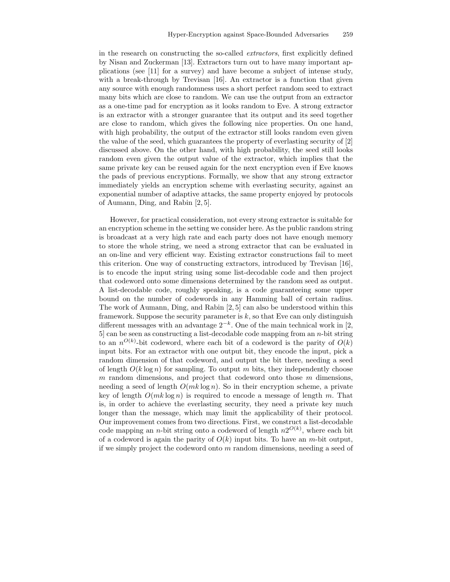in the research on constructing the so-called extractors, first explicitly defined by Nisan and Zuckerman [13]. Extractors turn out to have many important applications (see [11] for a survey) and have become a subject of intense study, with a break-through by Trevisan [16]. An extractor is a function that given any source with enough randomness uses a short perfect random seed to extract many bits which are close to random. We can use the output from an extractor as a one-time pad for encryption as it looks random to Eve. A strong extractor is an extractor with a stronger guarantee that its output and its seed together are close to random, which gives the following nice properties. On one hand, with high probability, the output of the extractor still looks random even given the value of the seed, which guarantees the property of everlasting security of [2] discussed above. On the other hand, with high probability, the seed still looks random even given the output value of the extractor, which implies that the same private key can be reused again for the next encryption even if Eve knows the pads of previous encryptions. Formally, we show that any strong extractor immediately yields an encryption scheme with everlasting security, against an exponential number of adaptive attacks, the same property enjoyed by protocols of Aumann, Ding, and Rabin [2, 5].

However, for practical consideration, not every strong extractor is suitable for an encryption scheme in the setting we consider here. As the public random string is broadcast at a very high rate and each party does not have enough memory to store the whole string, we need a strong extractor that can be evaluated in an on-line and very efficient way. Existing extractor constructions fail to meet this criterion. One way of constructing extractors, introduced by Trevisan [16], is to encode the input string using some list-decodable code and then project that codeword onto some dimensions determined by the random seed as output. A list-decodable code, roughly speaking, is a code guaranteeing some upper bound on the number of codewords in any Hamming ball of certain radius. The work of Aumann, Ding, and Rabin [2, 5] can also be understood within this framework. Suppose the security parameter is  $k$ , so that Eve can only distinguish different messages with an advantage  $2^{-k}$ . One of the main technical work in [2, 5] can be seen as constructing a list-decodable code mapping from an n-bit string to an  $n^{O(k)}$ -bit codeword, where each bit of a codeword is the parity of  $O(k)$ input bits. For an extractor with one output bit, they encode the input, pick a random dimension of that codeword, and output the bit there, needing a seed of length  $O(k \log n)$  for sampling. To output m bits, they independently choose  $m$  random dimensions, and project that codeword onto those  $m$  dimensions, needing a seed of length  $O(mk \log n)$ . So in their encryption scheme, a private key of length  $O(mk \log n)$  is required to encode a message of length m. That is, in order to achieve the everlasting security, they need a private key much longer than the message, which may limit the applicability of their protocol. Our improvement comes from two directions. First, we construct a list-decodable code mapping an *n*-bit string onto a codeword of length  $n2^{O(k)}$ , where each bit of a codeword is again the parity of  $O(k)$  input bits. To have an m-bit output, if we simply project the codeword onto m random dimensions, needing a seed of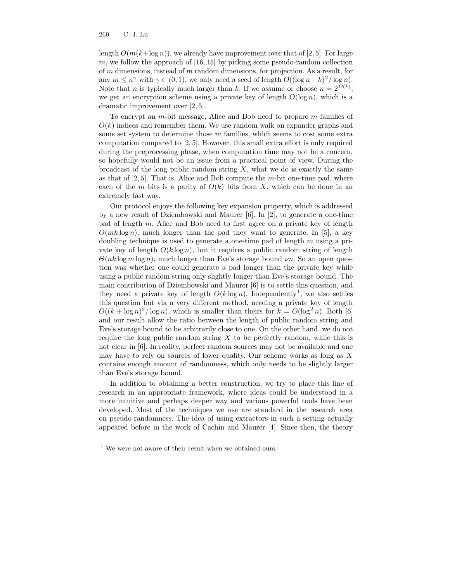length  $O(m(k+\log n))$ , we already have improvement over that of [2, 5]. For large m, we follow the approach of  $[16, 15]$  by picking some pseudo-random collection of  $m$  dimensions, instead of  $m$  random dimensions, for projection. As a result, for any  $m \leq n^{\gamma}$  with  $\gamma \in (0, 1)$ , we only need a seed of length  $O((\log n + k)^2 / \log n)$ . Note that *n* is typically much larger than *k*. If we assume or choose  $n = 2^{\Omega(k)}$ , we get an encryption scheme using a private key of length  $O(\log n)$ , which is a dramatic improvement over [2, 5].

To encrypt an m-bit message, Alice and Bob need to prepare m families of  $O(k)$  indices and remember them. We use random walk on expander graphs and some set system to determine those m families, which seems to cost some extra computation compared to [2, 5]. However, this small extra effort is only required during the preprocessing phase, when computation time may not be a concern, so hopefully would not be an issue from a practical point of view. During the broadcast of the long public random string  $X$ , what we do is exactly the same as that of  $[2, 5]$ . That is, Alice and Bob compute the *m*-bit one-time pad, where each of the m bits is a parity of  $O(k)$  bits from X, which can be done in an extremely fast way.

Our protocol enjoys the following key expansion property, which is addressed by a new result of Dziembowski and Maurer [6]. In [2], to generate a one-time pad of length  $m$ , Alice and Bob need to first agree on a private key of length  $O(mk \log n)$ , much longer than the pad they want to generate. In [5], a key doubling technique is used to generate a one-time pad of length  $m$  using a private key of length  $O(k \log n)$ , but it requires a public random string of length  $\Theta(nk \log m \log n)$ , much longer than Eve's storage bound  $\nu n$ . So an open question was whether one could generate a pad longer than the private key while using a public random string only slightly longer than Eve's storage bound. The main contribution of Dziembowski and Maurer [6] is to settle this question, and they need a private key of length  $O(k \log n)$ . Independently<sup>1</sup>, we also settles this question but via a very different method, needing a private key of length  $O((k + \log n)^2 / \log n)$ , which is smaller than theirs for  $k = O(\log^2 n)$ . Both [6] and our result allow the ratio between the length of public random string and Eve's storage bound to be arbitrarily close to one. On the other hand, we do not require the long public random string  $X$  to be perfectly random, while this is not clear in [6]. In reality, perfect random sources may not be available and one may have to rely on sources of lower quality. Our scheme works as long as  $X$ contains enough amount of randomness, which only needs to be slightly larger than Eve's storage bound.

In addition to obtaining a better construction, we try to place this line of research in an appropriate framework, where ideas could be understood in a more intuitive and perhaps deeper way and various powerful tools have been developed. Most of the techniques we use are standard in the research area on pseudo-randomness. The idea of using extractors in such a setting actually appeared before in the work of Cachin and Maurer [4]. Since then, the theory

 $1$  We were not aware of their result when we obtained ours.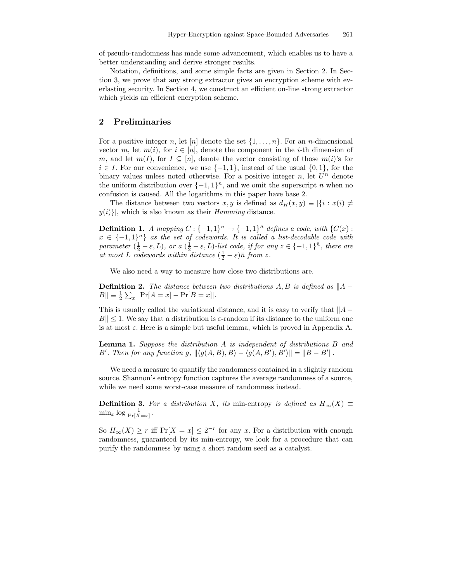of pseudo-randomness has made some advancement, which enables us to have a better understanding and derive stronger results.

Notation, definitions, and some simple facts are given in Section 2. In Section 3, we prove that any strong extractor gives an encryption scheme with everlasting security. In Section 4, we construct an efficient on-line strong extractor which yields an efficient encryption scheme.

### 2 Preliminaries

For a positive integer n, let [n] denote the set  $\{1, \ldots, n\}$ . For an n-dimensional vector m, let  $m(i)$ , for  $i \in [n]$ , denote the component in the *i*-th dimension of m, and let  $m(I)$ , for  $I \subseteq [n]$ , denote the vector consisting of those  $m(i)$ 's for  $i \in I$ . For our convenience, we use  $\{-1,1\}$ , instead of the usual  $\{0,1\}$ , for the binary values unless noted otherwise. For a positive integer  $n$ , let  $U<sup>n</sup>$  denote the uniform distribution over  $\{-1,1\}^n$ , and we omit the superscript n when no confusion is caused. All the logarithms in this paper have base 2.

The distance between two vectors x, y is defined as  $d_H(x, y) \equiv |\{i : x(i) \neq j\}|$  $y(i)$ , which is also known as their *Hamming* distance.

**Definition 1.** A mapping  $C: \{-1,1\}^n \to \{-1,1\}^{\bar{n}}$  defines a code, with  $\{C(x):$  $x \in \{-1,1\}^n$  as the set of codewords. It is called a list-decodable code with parameter  $(\frac{1}{2} - \varepsilon, L)$ , or a  $(\frac{1}{2} - \varepsilon, L)$ -list code, if for any  $z \in \{-1, 1\}^{\bar{n}}$ , there are at most L codewords within distance  $(\frac{1}{2} - \varepsilon)\bar{n}$  from z.

We also need a way to measure how close two distributions are.

**Definition 2.** The distance between two distributions  $A, B$  is defined as  $||A B \parallel \equiv \frac{1}{2} \sum_x |Pr[A = x] - Pr[B = x]$ .

This is usually called the variational distance, and it is easy to verify that  $||A B\|\leq 1$ . We say that a distribution is  $\varepsilon$ -random if its distance to the uniform one is at most  $\varepsilon$ . Here is a simple but useful lemma, which is proved in Appendix A.

Lemma 1. Suppose the distribution A is independent of distributions B and B'. Then for any function g,  $\|\langle g(A, B), B \rangle - \langle g(A, B'), B' \rangle \| = \|B - B'\|.$ 

We need a measure to quantify the randomness contained in a slightly random source. Shannon's entropy function captures the average randomness of a source, while we need some worst-case measure of randomness instead.

**Definition 3.** For a distribution X, its min-entropy is defined as  $H_{\infty}(X) \equiv$  $\min_x \log \frac{1}{\Pr[X=x]}$ .

So  $H_{\infty}(X) \geq r$  iff  $Pr[X = x] \leq 2^{-r}$  for any x. For a distribution with enough randomness, guaranteed by its min-entropy, we look for a procedure that can purify the randomness by using a short random seed as a catalyst.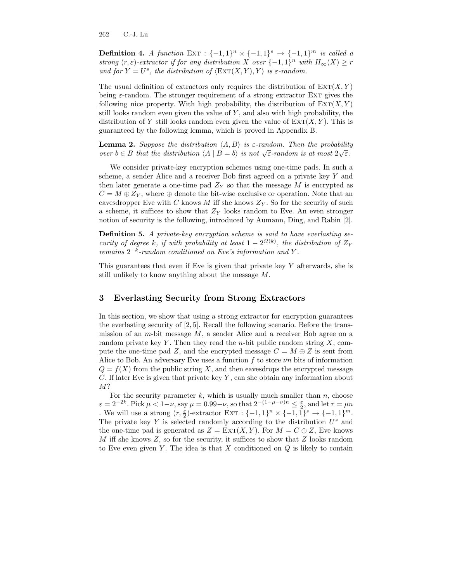**Definition 4.** A function Ext :  $\{-1,1\}^n \times \{-1,1\}^s$  →  $\{-1,1\}^m$  is called a strong  $(r, \varepsilon)$ -extractor if for any distribution X over  $\{-1, 1\}^n$  with  $H_{\infty}(X) \geq r$ and for  $Y = U^s$ , the distribution of  $\langle \text{EXT}(X, Y), Y \rangle$  is  $\varepsilon$ -random.

The usual definition of extractors only requires the distribution of  $\text{EXT}(X, Y)$ being  $\varepsilon$ -random. The stronger requirement of a strong extractor Ext gives the following nice property. With high probability, the distribution of  $\text{Ext}(X, Y)$ still looks random even given the value of  $Y$ , and also with high probability, the distribution of Y still looks random even given the value of  $\text{Ext}(X, Y)$ . This is guaranteed by the following lemma, which is proved in Appendix B.

**Lemma 2.** Suppose the distribution  $\langle A, B \rangle$  is  $\varepsilon$ -random. Then the probability over  $b \in B$  that the distribution  $\langle A | B = b \rangle$  is not  $\sqrt{\varepsilon}$ -random is at most  $2\sqrt{\varepsilon}$ .

We consider private-key encryption schemes using one-time pads. In such a scheme, a sender Alice and a receiver Bob first agreed on a private key Y and then later generate a one-time pad  $Z_Y$  so that the message M is encrypted as  $C = M \oplus Z_Y$ , where  $\oplus$  denote the bit-wise exclusive or operation. Note that an eavesdropper Eve with C knows M iff she knows  $Z_Y$ . So for the security of such a scheme, it suffices to show that  $Z_Y$  looks random to Eve. An even stronger notion of security is the following, introduced by Aumann, Ding, and Rabin [2].

Definition 5. A private-key encryption scheme is said to have everlasting security of degree k, if with probability at least  $1 - 2^{\Omega(k)}$ , the distribution of  $Z_Y$ remains  $2^{-k}$ -random conditioned on Eve's information and Y.

This guarantees that even if Eve is given that private key  $Y$  afterwards, she is still unlikely to know anything about the message M.

### 3 Everlasting Security from Strong Extractors

In this section, we show that using a strong extractor for encryption guarantees the everlasting security of [2, 5]. Recall the following scenario. Before the transmission of an m-bit message  $M$ , a sender Alice and a receiver Bob agree on a random private key Y. Then they read the *n*-bit public random string  $X$ , compute the one-time pad Z, and the encrypted message  $C = M \oplus Z$  is sent from Alice to Bob. An adversary Eve uses a function f to store  $\nu n$  bits of information  $Q = f(X)$  from the public string X, and then eavesdrops the encrypted message C. If later Eve is given that private key Y , can she obtain any information about  ${\cal M}?$ 

For the security parameter  $k$ , which is usually much smaller than  $n$ , choose  $\varepsilon = 2^{-2k}$ . Pick  $\mu < 1-\nu$ , say  $\mu = 0.99 - \nu$ , so that  $2^{-(1-\mu-\nu)n} \leq \frac{\varepsilon}{2}$ , and let  $r = \mu n$ We will use a strong  $(r, \frac{\varepsilon}{2})$ -extractor Ext :  $\{-1, 1\}^n \times \{-1, 1\}^s \to \{-1, 1\}^m$ . The private key Y is selected randomly according to the distribution  $U^s$  and the one-time pad is generated as  $Z = \text{EXT}(X, Y)$ . For  $M = C \oplus Z$ , Eve knows M iff she knows  $Z$ , so for the security, it suffices to show that  $Z$  looks random to Eve even given Y. The idea is that  $X$  conditioned on  $Q$  is likely to contain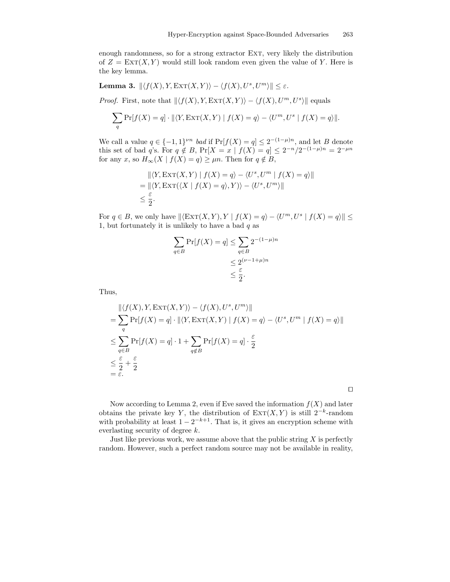enough randomness, so for a strong extractor Ext, very likely the distribution of  $Z = \text{EXT}(X, Y)$  would still look random even given the value of Y. Here is the key lemma.

**Lemma 3.**  $\|\langle f(X), Y, \text{EXT}(X, Y) \rangle - \langle f(X), U^s, U^m \rangle \| \le \varepsilon$ .

*Proof.* First, note that  $\| \langle f(X), Y, \text{EXT}(X, Y) \rangle - \langle f(X), U^m, U^s \rangle \|$  equals

$$
\sum_{q} \Pr[f(X) = q] \cdot ||\langle Y, \operatorname{Ext}(X, Y) \mid f(X) = q \rangle - \langle U^{m}, U^{s} \mid f(X) = q \rangle ||.
$$

We call a value  $q \in \{-1,1\}^{\nu n}$  bad if  $Pr[f(X) = q] \leq 2^{-(1-\mu)n}$ , and let B denote this set of bad q's. For  $q \notin B$ ,  $Pr[X = x | f(X) = q] \leq 2^{-n}/2^{-(1-\mu)n} = 2^{-\mu n}$ for any x, so  $H_{\infty}(X \mid f(X) = q) \geq \mu n$ . Then for  $q \notin B$ ,

$$
\begin{aligned} &\| \langle Y, \text{Ext}(X, Y) \mid f(X) = q \rangle - \langle U^s, U^m \mid f(X) = q \rangle \| \\ &= \| \langle Y, \text{Ext}(\langle X \mid f(X) = q \rangle, Y) \rangle - \langle U^s, U^m \rangle \| \\ &\le \frac{\varepsilon}{2}. \end{aligned}
$$

For  $q \in B$ , we only have  $\| \langle \text{EXT}(X, Y), Y \mid f(X) = q \rangle - \langle U^m, U^s \mid f(X) = q \rangle \| \le$ 1, but fortunately it is unlikely to have a bad  $q$  as

$$
\sum_{q \in B} \Pr[f(X) = q] \le \sum_{q \in B} 2^{-(1-\mu)n} \le 2^{(\nu-1+\mu)n} \le \frac{\varepsilon}{2}.
$$

Thus,

$$
\begin{aligned}\n&\|\langle f(X), Y, \operatorname{Ext}(X, Y) \rangle - \langle f(X), U^s, U^m \rangle\| \\
&= \sum_{q} \Pr[f(X) = q] \cdot \|\langle Y, \operatorname{Ext}(X, Y) \mid f(X) = q \rangle - \langle U^s, U^m \mid f(X) = q \rangle\| \\
&\le \sum_{q \in B} \Pr[f(X) = q] \cdot 1 + \sum_{q \notin B} \Pr[f(X) = q] \cdot \frac{\varepsilon}{2} \\
&\le \frac{\varepsilon}{2} + \frac{\varepsilon}{2} \\
&= \varepsilon.\n\end{aligned}
$$

Now according to Lemma 2, even if Eve saved the information  $f(X)$  and later obtains the private key Y, the distribution of  $\text{EXT}(X,Y)$  is still  $2^{-k}$ -random with probability at least  $1 - 2^{-k+1}$ . That is, it gives an encryption scheme with everlasting security of degree k.

 $\Box$ 

Just like previous work, we assume above that the public string  $X$  is perfectly random. However, such a perfect random source may not be available in reality,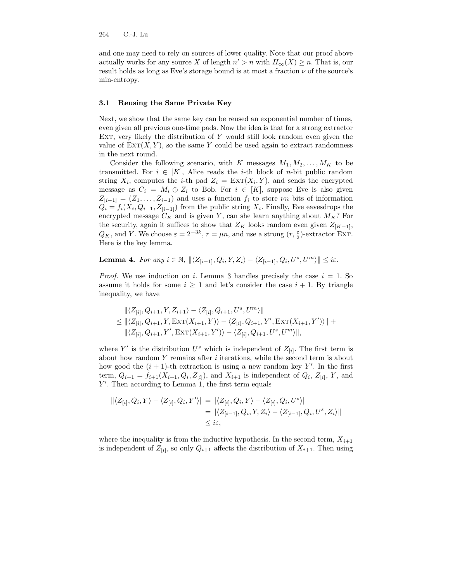and one may need to rely on sources of lower quality. Note that our proof above actually works for any source X of length  $n' > n$  with  $H_{\infty}(X) \geq n$ . That is, our result holds as long as Eve's storage bound is at most a fraction  $\nu$  of the source's min-entropy.

#### 3.1 Reusing the Same Private Key

Next, we show that the same key can be reused an exponential number of times, even given all previous one-time pads. Now the idea is that for a strong extractor EXT, very likely the distribution of  $Y$  would still look random even given the value of  $\text{EXT}(X, Y)$ , so the same Y could be used again to extract randomness in the next round.

Consider the following scenario, with K messages  $M_1, M_2, \ldots, M_K$  to be transmitted. For  $i \in [K]$ , Alice reads the *i*-th block of *n*-bit public random string  $X_i$ , computes the *i*-th pad  $Z_i = \text{EXT}(X_i, Y)$ , and sends the encrypted message as  $C_i = M_i \oplus Z_i$  to Bob. For  $i \in [K]$ , suppose Eve is also given  $Z_{[i-1]} = (Z_1, \ldots, Z_{i-1})$  and uses a function  $f_i$  to store  $\nu n$  bits of information  $Q_i = f_i(X_i, Q_{i-1}, Z_{[i-1]})$  from the public string  $X_i$ . Finally, Eve eavesdrops the encrypted message  $C_K$  and is given Y, can she learn anything about  $M_K$ ? For the security, again it suffices to show that  $Z_K$  looks random even given  $Z_{[K-1]}$ ,  $Q_K$ , and Y. We choose  $\varepsilon = 2^{-3k}$ ,  $r = \mu n$ , and use a strong  $(r, \frac{\varepsilon}{2})$ -extractor Ext. Here is the key lemma.

**Lemma 4.** For any  $i \in \mathbb{N}$ ,  $\|\langle Z_{[i-1]}, Q_i, Y, Z_i\rangle - \langle Z_{[i-1]}, Q_i, U^s, U^m\rangle\| \leq i\varepsilon$ .

*Proof.* We use induction on i. Lemma 3 handles precisely the case  $i = 1$ . So assume it holds for some  $i \geq 1$  and let's consider the case  $i + 1$ . By triangle inequality, we have

$$
\|\langle Z_{[i]}, Q_{i+1}, Y, Z_{i+1}\rangle - \langle Z_{[i]}, Q_{i+1}, U^s, U^m \rangle\| \leq \|\langle Z_{[i]}, Q_{i+1}, Y, \text{EXT}(X_{i+1}, Y) \rangle - \langle Z_{[i]}, Q_{i+1}, Y', \text{EXT}(X_{i+1}, Y') \rangle\| + \|\langle Z_{[i]}, Q_{i+1}, Y', \text{EXT}(X_{i+1}, Y') \rangle - \langle Z_{[i]}, Q_{i+1}, U^s, U^m \rangle\|,
$$

where Y' is the distribution  $U^s$  which is independent of  $Z_{[i]}$ . The first term is about how random Y remains after i iterations, while the second term is about how good the  $(i + 1)$ -th extraction is using a new random key Y'. In the first term,  $Q_{i+1} = f_{i+1}(X_{i+1}, Q_i, Z_{[i]})$ , and  $X_{i+1}$  is independent of  $Q_i$ ,  $Z_{[i]}$ , Y, and  $Y'$ . Then according to Lemma 1, the first term equals

$$
\begin{aligned} \|\langle Z_{[i]}, Q_i, Y \rangle - \langle Z_{[i]}, Q_i, Y' \rangle \| &= \|\langle Z_{[i]}, Q_i, Y \rangle - \langle Z_{[i]}, Q_i, U^s \rangle \| \\ &= \|\langle Z_{[i-1]}, Q_i, Y, Z_i \rangle - \langle Z_{[i-1]}, Q_i, U^s, Z_i \rangle \| \\ &\leq i\varepsilon, \end{aligned}
$$

where the inequality is from the inductive hypothesis. In the second term,  $X_{i+1}$ is independent of  $Z_{[i]}$ , so only  $Q_{i+1}$  affects the distribution of  $X_{i+1}$ . Then using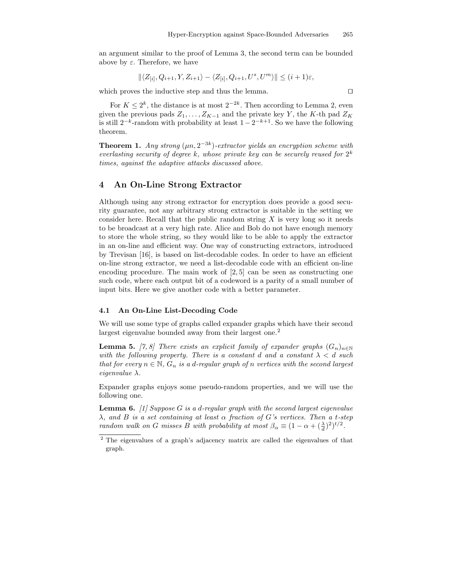an argument similar to the proof of Lemma 3, the second term can be bounded above by  $\varepsilon$ . Therefore, we have

$$
\|\langle Z_{[i]},Q_{i+1},Y,Z_{i+1}\rangle-\langle Z_{[i]},Q_{i+1},U^s,U^m\rangle\|\leq (i+1)\varepsilon,
$$

which proves the inductive step and thus the lemma.  $\Box$ 

For  $K \leq 2^k$ , the distance is at most  $2^{-2k}$ . Then according to Lemma 2, even given the previous pads  $Z_1, \ldots, Z_{K-1}$  and the private key Y, the K-th pad  $Z_K$ is still  $2^{-k}$ -random with probability at least  $1-2^{-k+1}$ . So we have the following theorem.

**Theorem 1.** Any strong  $(\mu n, 2^{-3k})$ -extractor yields an encryption scheme with everlasting security of degree k, whose private key can be securely reused for  $2^k$ times, against the adaptive attacks discussed above.

### 4 An On-Line Strong Extractor

Although using any strong extractor for encryption does provide a good security guarantee, not any arbitrary strong extractor is suitable in the setting we consider here. Recall that the public random string  $X$  is very long so it needs to be broadcast at a very high rate. Alice and Bob do not have enough memory to store the whole string, so they would like to be able to apply the extractor in an on-line and efficient way. One way of constructing extractors, introduced by Trevisan [16], is based on list-decodable codes. In order to have an efficient on-line strong extractor, we need a list-decodable code with an efficient on-line encoding procedure. The main work of  $[2, 5]$  can be seen as constructing one such code, where each output bit of a codeword is a parity of a small number of input bits. Here we give another code with a better parameter.

#### 4.1 An On-Line List-Decoding Code

We will use some type of graphs called expander graphs which have their second largest eigenvalue bounded away from their largest one.<sup>2</sup>

**Lemma 5.** [7, 8] There exists an explicit family of expander graphs  $(G_n)_{n\in\mathbb{N}}$ with the following property. There is a constant d and a constant  $\lambda < d$  such that for every  $n \in \mathbb{N}$ ,  $G_n$  is a d-regular graph of n vertices with the second largest eigenvalue  $\lambda$ .

Expander graphs enjoys some pseudo-random properties, and we will use the following one.

**Lemma 6.** [1] Suppose G is a d-regular graph with the second largest eigenvalue  $\lambda$ , and B is a set containing at least  $\alpha$  fraction of G's vertices. Then a t-step random walk on G misses B with probability at most  $\beta_{\alpha} \equiv (1 - \alpha + (\frac{\lambda}{d})^2)^{t/2}$ .

<sup>2</sup> The eigenvalues of a graph's adjacency matrix are called the eigenvalues of that graph.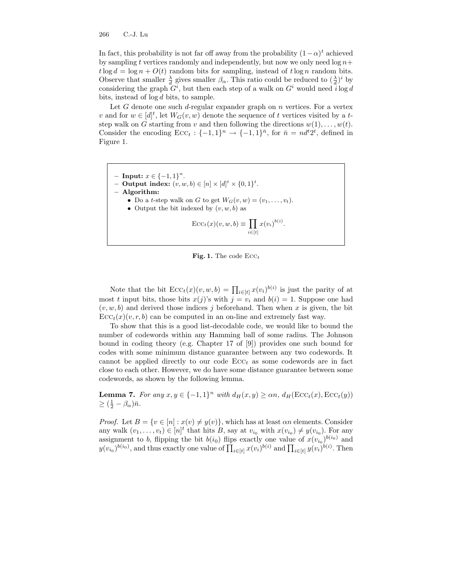In fact, this probability is not far off away from the probability  $(1 - \alpha)^t$  achieved by sampling t vertices randomly and independently, but now we only need  $\log n$ +  $t \log d = \log n + O(t)$  random bits for sampling, instead of  $t \log n$  random bits. Observe that smaller  $\frac{\lambda}{d}$  gives smaller  $\beta_{\alpha}$ . This ratio could be reduced to  $(\frac{\lambda}{d})^i$  by considering the graph  $G^i$ , but then each step of a walk on  $G^i$  would need  $\overline{i} \log d$ bits, instead of log d bits, to sample.

Let  $G$  denote one such d-regular expander graph on  $n$  vertices. For a vertex v and for  $w \in [d]^t$ , let  $W_G(v, w)$  denote the sequence of t vertices visited by a tstep walk on G starting from v and then following the directions  $w(1), \ldots, w(t)$ . Consider the encoding  $\text{Ecc}_t : \{-1,1\}^n \to \{-1,1\}^{\bar{n}}$ , for  $\bar{n} = nd^t 2^t$ , defined in Figure 1.

- $-$  Input:  $x \in \{-1, 1\}^n$ .
- Output index:  $(v, w, b) \in [n] \times [d]^t \times \{0, 1\}^t$ .
- Algorithm:
	- Do a *t*-step walk on G to get  $W_G(v, w) = (v_1, \ldots, v_t)$ .
	- Output the bit indexed by  $(v, w, b)$  as

$$
\mathrm{Ecc}_t(x)(v, w, b) \equiv \prod_{i \in [t]} x(v_i)^{b(i)}
$$

.

Fig. 1. The code  $\text{Ecc}_t$ 

Note that the bit  $\text{Ecc}_t(x)(v, w, b) = \prod_{i \in [t]} x(v_i)^{b(i)}$  is just the parity of at most t input bits, those bits  $x(j)$ 's with  $j = v_i$  and  $b(i) = 1$ . Suppose one had  $(v, w, b)$  and derived those indices j beforehand. Then when x is given, the bit  $\text{Ecc}_t(x)(v, r, b)$  can be computed in an on-line and extremely fast way.

To show that this is a good list-decodable code, we would like to bound the number of codewords within any Hamming ball of some radius. The Johnson bound in coding theory (e.g. Chapter 17 of [9]) provides one such bound for codes with some minimum distance guarantee between any two codewords. It cannot be applied directly to our code  $\text{Ecc}_t$  as some codewords are in fact close to each other. However, we do have some distance guarantee between some codewords, as shown by the following lemma.

**Lemma 7.** For any  $x, y \in \{-1, 1\}^n$  with  $d_H(x, y) \ge \alpha n$ ,  $d_H(\text{Ecc}_t(x), \text{Ecc}_t(y))$  $\geq (\frac{1}{2} - \beta_{\alpha})\bar{n}.$ 

*Proof.* Let  $B = \{v \in [n] : x(v) \neq y(v)\}$ , which has at least  $\alpha n$  elements. Consider any walk  $(v_1, \ldots, v_t) \in [n]^t$  that hits B, say at  $v_{i_0}$  with  $x(v_{i_0}) \neq y(v_{i_0})$ . For any assignment to b, flipping the bit  $b(i_0)$  flips exactly one value of  $x(v_{i_0})^{b(i_0)}$  and  $y(v_{i_0})^{b(i_0)}$ , and thus exactly one value of  $\prod_{i\in[t]} x(v_i)^{b(i)}$  and  $\prod_{i\in[t]} y(v_i)^{b(i)}$ . Then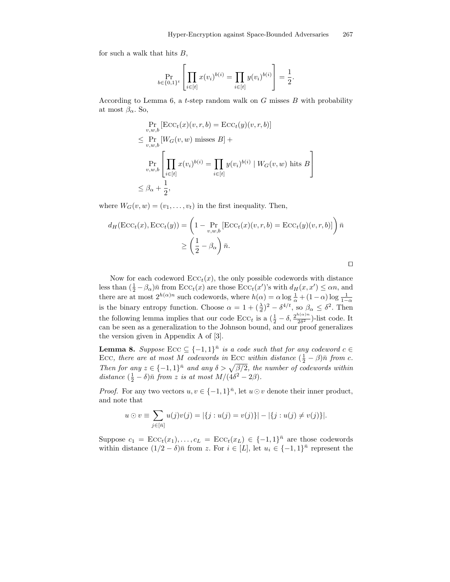for such a walk that hits  $B$ ,

$$
\Pr_{b \in \{0,1\}^t} \left[ \prod_{i \in [t]} x(v_i)^{b(i)} = \prod_{i \in [t]} y(v_i)^{b(i)} \right] = \frac{1}{2}.
$$

According to Lemma 6, a t-step random walk on  $G$  misses  $B$  with probability at most  $\beta_{\alpha}$ . So,

$$
\Pr_{v,w,b} \left[ \text{Ecc}_{t}(x)(v,r,b) = \text{Ecc}_{t}(y)(v,r,b) \right]
$$
\n
$$
\leq \Pr_{v,w,b} \left[ W_G(v,w) \text{ misses } B \right] +
$$
\n
$$
\Pr_{v,w,b} \left[ \prod_{i \in [t]} x(v_i)^{b(i)} = \prod_{i \in [t]} y(v_i)^{b(i)} \mid W_G(v,w) \text{ hits } B \right]
$$
\n
$$
\leq \beta_{\alpha} + \frac{1}{2},
$$

where  $W_G(v, w) = (v_1, \ldots, v_t)$  in the first inequality. Then,

$$
d_H(\text{Ecc}_t(x), \text{Ecc}_t(y)) = \left(1 - \Pr_{v,w,b}[\text{Ecc}_t(x)(v,r,b)] = \text{Ecc}_t(y)(v,r,b)]\right)\bar{n}
$$

$$
\geq \left(\frac{1}{2} - \beta_\alpha\right)\bar{n}.
$$

Now for each codeword  $\text{Ecc}_t(x)$ , the only possible codewords with distance less than  $(\frac{1}{2} - \beta_{\alpha})\bar{n}$  from  $\text{Ecc}_t(x)$  are those  $\text{Ecc}_t(x')$ 's with  $d_H(x, x') \leq \alpha n$ , and there are at most  $2^{h(\alpha)n}$  such codewords, where  $h(\alpha) = \alpha \log \frac{1}{\alpha} + (1 - \alpha) \log \frac{1}{1 - \alpha}$ is the binary entropy function. Choose  $\alpha = 1 + (\frac{\lambda}{d})^2 - \delta^{4/t}$ , so  $\beta_{\alpha} \leq \delta^2$ . Then the following lemma implies that our code Ecc<sub>t</sub> is a  $(\frac{1}{2} - \delta, \frac{2^{h(\alpha)n}}{2\delta^2})$  $\frac{2\delta^2}{2\delta^2}$ )-list code. It can be seen as a generalization to the Johnson bound, and our proof generalizes the version given in Appendix A of [3].

**Lemma 8.** Suppose  $\text{ECC} \subseteq \{-1,1\}^{\bar{n}}$  is a code such that for any codeword  $c \in$ ECC, there are at most M codewords in ECC within distance  $(\frac{1}{2} - \beta)\bar{n}$  from c. Then for any  $z \in \{-1,1\}^{\bar{n}}$  and any  $\delta > \sqrt{\beta/2}$ , the number of codewords within distance  $(\frac{1}{2} - \delta)\bar{n}$  from z is at most  $M/(\dot{4}\delta^2 - 2\beta)$ .

*Proof.* For any two vectors  $u, v \in \{-1, 1\}^{\bar{n}}$ , let  $u \odot v$  denote their inner product, and note that

$$
u \odot v \equiv \sum_{j \in [n]} u(j)v(j) = |\{j : u(j) = v(j)\}| - |\{j : u(j) \neq v(j)\}|.
$$

Suppose  $c_1 = \text{Ecc}_t(x_1), \ldots, c_L = \text{Ecc}_t(x_L) \in \{-1, 1\}^{\bar{n}}$  are those codewords within distance  $(1/2 - \delta)\bar{n}$  from z. For  $i \in [L]$ , let  $u_i \in \{-1,1\}^{\bar{n}}$  represent the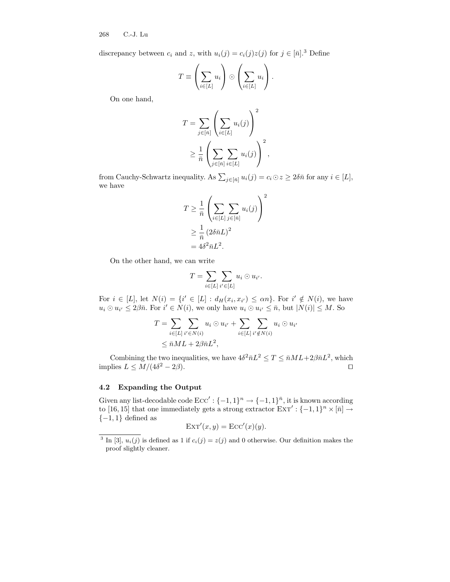discrepancy between  $c_i$  and z, with  $u_i(j) = c_i(j)z(j)$  for  $j \in [\bar{n}]$ .<sup>3</sup> Define

$$
T \equiv \left(\sum_{i \in [L]} u_i\right) \odot \left(\sum_{i \in [L]} u_i\right).
$$

On one hand,

$$
T = \sum_{j \in [\bar{n}]} \left( \sum_{i \in [L]} u_i(j) \right)^2
$$
  

$$
\geq \frac{1}{\bar{n}} \left( \sum_{j \in [\bar{n}]} \sum_{i \in [L]} u_i(j) \right)^2,
$$

from Cauchy-Schwartz inequality. As  $\sum_{j\in[n]} u_i(j) = c_i \odot z \geq 2\delta \bar{n}$  for any  $i \in [L],$ we have

2

$$
T \ge \frac{1}{\bar{n}} \left( \sum_{i \in [L]} \sum_{j \in [\bar{n}]} u_i(j) \right)
$$
  
 
$$
\ge \frac{1}{\bar{n}} \left( 2\delta \bar{n} L \right)^2
$$
  
=  $4\delta^2 \bar{n} L^2$ .

On the other hand, we can write

$$
T = \sum_{i \in [L]} \sum_{i' \in [L]} u_i \odot u_{i'}.
$$

For  $i \in [L]$ , let  $N(i) = \{i' \in [L] : d_H(x_i, x_{i'}) \leq \alpha n\}$ . For  $i' \notin N(i)$ , we have  $u_i \odot u_{i'} \leq 2\beta \bar{n}$ . For  $i' \in N(i)$ , we only have  $u_i \odot u_{i'} \leq \bar{n}$ , but  $|N(i)| \leq M$ . So

$$
T = \sum_{i \in [L]} \sum_{i' \in N(i)} u_i \odot u_{i'} + \sum_{i \in [L]} \sum_{i' \notin N(i)} u_i \odot u_{i'}
$$
  

$$
\leq \bar{n}ML + 2\beta \bar{n}L^2,
$$

Combining the two inequalities, we have  $4\delta^2 \bar{n}L^2 \leq T \leq \bar{n}ML + 2\beta \bar{n}L^2$ , which implies  $L \leq M/(4\delta^2 - 2\beta)$ .

### 4.2 Expanding the Output

Given any list-decodable code  $\text{ECC}' : \{-1,1\}^n \to \{-1,1\}^{\bar{n}}$ , it is known according to [16,15] that one immediately gets a strong extractor  $\operatorname{Ext}^{\prime} : \{-1,1\}^n \times [\bar{n}] \to$  ${-1, 1}$  defined as

$$
ExT'(x, y) = ECC'(x)(y).
$$

<sup>&</sup>lt;sup>3</sup> In [3],  $u_i(j)$  is defined as 1 if  $c_i(j) = z(j)$  and 0 otherwise. Our definition makes the proof slightly cleaner.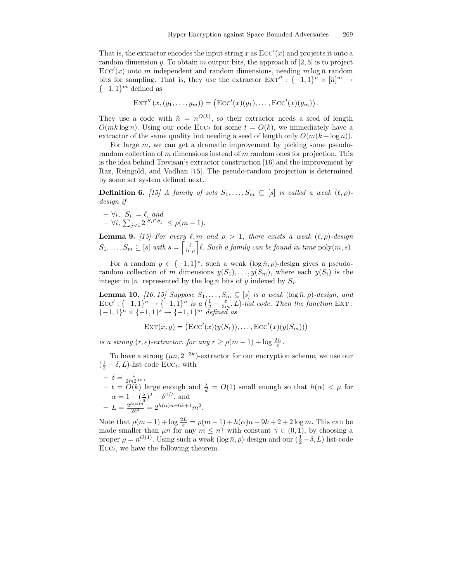That is, the extractor encodes the input string x as  $\text{Ecc}'(x)$  and projects it onto a random dimension y. To obtain m output bits, the approach of  $[2, 5]$  is to project  $\text{Ecc}'(x)$  onto m independent and random dimensions, needing m log  $\bar{n}$  random bits for sampling. That is, they use the extractor  $\operatorname{Ext}'' : \{-1,1\}^n \times [\bar{n}]^m \to$  $\{-1,1\}^m$  defined as

$$
EXT''(x,(y_1,\ldots,y_m)) = (Ecc'(x)(y_1),\ldots,Ecc'(x)(y_m)).
$$

They use a code with  $\bar{n} = n^{O(k)}$ , so their extractor needs a seed of length  $O(mk \log n)$ . Using our code  $\text{Ecc}_t$  for some  $t = O(k)$ , we immediately have a extractor of the same quality but needing a seed of length only  $O(m(k + \log n))$ .

For large m, we can get a dramatic improvement by picking some pseudorandom collection of m dimensions instead of m random ones for projection. This is the idea behind Trevisan's extractor construction [16] and the improvement by Raz, Reingold, and Vadhan [15]. The pseudo-random projection is determined by some set system defined next.

**Definition 6.** [15] A family of sets  $S_1, \ldots, S_m \subseteq [s]$  is called a weak  $(\ell, \rho)$ design if

$$
- \forall i, |S_i| = \ell, and
$$
  

$$
- \forall i, \sum_{j
$$

**Lemma 9.** [15] For every  $\ell, m$  and  $\rho > 1$ , there exists a weak  $(\ell, \rho)$ -design  $S_1, \ldots, S_m \subseteq [s]$  with  $s = \left\lceil \frac{\ell}{\ln \rho} \right\rceil \ell$ . Such a family can be found in time  $\text{poly}(m, s)$ .

For a random  $y \in \{-1,1\}^s$ , such a weak  $(\log \bar{n}, \rho)$ -design gives a pseudorandom collection of m dimensions  $y(S_1), \ldots, y(S_m)$ , where each  $y(S_i)$  is the integer in  $[\bar{n}]$  represented by the  $\log \bar{n}$  bits of y indexed by  $S_i$ .

**Lemma 10.** [16, 15] Suppose  $S_1, \ldots, S_m \subseteq [s]$  is a weak  $(\log \bar{n}, \rho)$ -design, and  $\text{Ecc}' : \{-1,1\}^n \to \{-1,1\}^{\bar{n}}$  is a  $(\frac{1}{2} - \frac{\varepsilon}{2m}, L)$ -list code. Then the function EXT:  $\{-1,1\}^n \times \{-1,1\}^s \to \{-1,1\}^m$  defined as

$$
EXT(x,y) = (Ecc'(x)(y(S_1)), \ldots, Ecc'(x)(y(S_m)))
$$

is a strong  $(r, \varepsilon)$ -extractor, for any  $r \ge \rho(m-1) + \log \frac{2L}{\varepsilon}$ .

To have a strong  $(\mu n, 2^{-3k})$ -extractor for our encryption scheme, we use our  $(\frac{1}{2} - \delta, L)$ -list code Ecc<sub>t</sub>, with

 $- \delta = \frac{1}{2m2^{3k}},$  $-t = O(k)$  large enough and  $\frac{\lambda}{d} = O(1)$  small enough so that  $h(\alpha) < \mu$  for  $\alpha = 1 + (\frac{\lambda}{d})^2 - \delta^{4/t}$ , and  $-L=\frac{2^{h(\alpha)n}}{2\delta^2}$  $\frac{h(\alpha)n}{2\delta^2} = 2^{h(\alpha)n + 6k + 1}m^2.$ 

Note that  $\rho(m-1) + \log \frac{2L}{\varepsilon} = \rho(m-1) + h(\alpha)n + 9k + 2 + 2\log m$ . This can be made smaller than  $\mu n$  for any  $m \leq n^{\gamma}$  with constant  $\gamma \in (0, 1)$ , by choosing a proper  $\rho = n^{O(1)}$ . Using such a weak  $(\log \bar{n}, \rho)$ -design and our  $(\frac{1}{2} - \delta, L)$  list-code  $\text{Ecc}_t$ , we have the following theorem.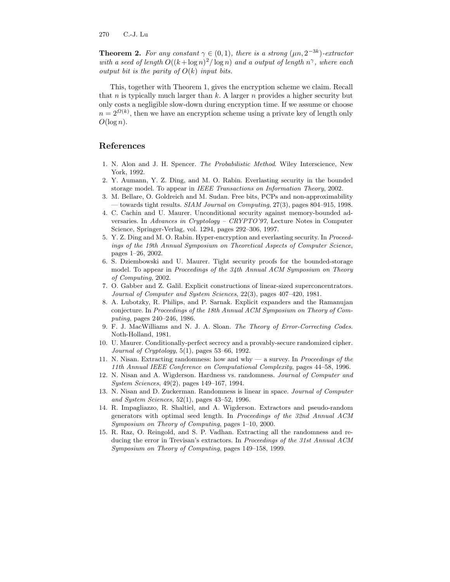**Theorem 2.** For any constant  $\gamma \in (0,1)$ , there is a strong  $(\mu n, 2^{-3k})$ -extractor with a seed of length  $O((k + \log n)^2 / \log n)$  and a output of length  $n^{\gamma}$ , where each output bit is the parity of  $O(k)$  input bits.

This, together with Theorem 1, gives the encryption scheme we claim. Recall that n is typically much larger than  $k$ . A larger n provides a higher security but only costs a negligible slow-down during encryption time. If we assume or choose  $n = 2^{\Omega(k)}$ , then we have an encryption scheme using a private key of length only  $O(\log n)$ .

### References

- 1. N. Alon and J. H. Spencer. The Probabilistic Method. Wiley Interscience, New York, 1992.
- 2. Y. Aumann, Y. Z. Ding, and M. O. Rabin. Everlasting security in the bounded storage model. To appear in IEEE Transactions on Information Theory, 2002.
- 3. M. Bellare, O. Goldreich and M. Sudan. Free bits, PCPs and non-approximability  $-$  towards tight results. SIAM Journal on Computing, 27(3), pages 804–915, 1998.
- 4. C. Cachin and U. Maurer. Unconditional security against memory-bounded adversaries. In Advances in Cryptology – CRYPTO'97, Lecture Notes in Computer Science, Springer-Verlag, vol. 1294, pages 292–306, 1997.
- 5. Y. Z. Ding and M. O. Rabin. Hyper-encryption and everlasting security. In Proceedings of the 19th Annual Symposium on Theoretical Aspects of Computer Science, pages 1–26, 2002.
- 6. S. Dziembowski and U. Maurer. Tight security proofs for the bounded-storage model. To appear in Proceedings of the 34th Annual ACM Symposium on Theory of Computing, 2002.
- 7. O. Gabber and Z. Galil. Explicit constructions of linear-sized superconcentrators. Journal of Computer and System Sciences, 22(3), pages 407–420, 1981.
- 8. A. Lubotzky, R. Philips, and P. Sarnak. Explicit expanders and the Ramanujan conjecture. In Proceedings of the 18th Annual ACM Symposium on Theory of Computing, pages 240–246, 1986.
- 9. F. J. MacWilliams and N. J. A. Sloan. The Theory of Error-Correcting Codes. Noth-Holland, 1981.
- 10. U. Maurer. Conditionally-perfect secrecy and a provably-secure randomized cipher. Journal of Cryptology,  $5(1)$ , pages  $53-66$ , 1992.
- 11. N. Nisan. Extracting randomness: how and why a survey. In Proceedings of the 11th Annual IEEE Conference on Computational Complexity, pages 44–58, 1996.
- 12. N. Nisan and A. Wigderson. Hardness vs. randomness. Journal of Computer and System Sciences, 49(2), pages 149–167, 1994.
- 13. N. Nisan and D. Zuckerman. Randomness is linear in space. Journal of Computer and System Sciences, 52(1), pages 43–52, 1996.
- 14. R. Impagliazzo, R. Shaltiel, and A. Wigderson. Extractors and pseudo-random generators with optimal seed length. In Proceedings of the 32nd Annual ACM Symposium on Theory of Computing, pages 1–10, 2000.
- 15. R. Raz, O. Reingold, and S. P. Vadhan. Extracting all the randomness and reducing the error in Trevisan's extractors. In Proceedings of the 31st Annual ACM Symposium on Theory of Computing, pages 149–158, 1999.